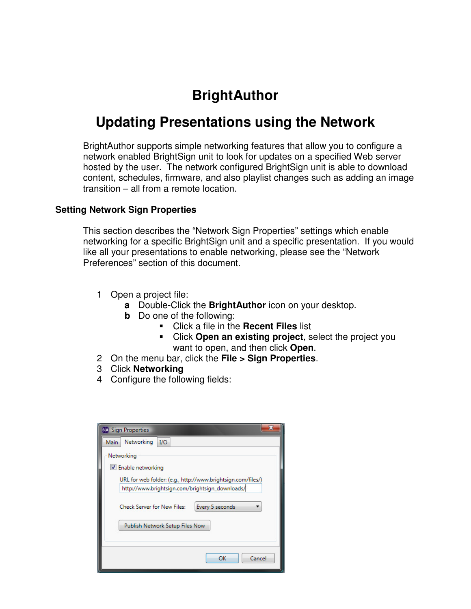# **BrightAuthor**

# **Updating Presentations using the Network**

BrightAuthor supports simple networking features that allow you to configure a network enabled BrightSign unit to look for updates on a specified Web server hosted by the user. The network configured BrightSign unit is able to download content, schedules, firmware, and also playlist changes such as adding an image transition – all from a remote location.

#### **Setting Network Sign Properties**

This section describes the "Network Sign Properties" settings which enable networking for a specific BrightSign unit and a specific presentation. If you would like all your presentations to enable networking, please see the "Network Preferences" section of this document.

- 1 Open a project file:
	- **a** Double-Click the **BrightAuthor** icon on your desktop.
	- **b** Do one of the following:
		- Click a file in the **Recent Files** list
		- Click **Open an existing project**, select the project you want to open, and then click **Open**.
- 2 On the menu bar, click the **File > Sign Properties**.
- 3 Click **Networking**
- 4 Configure the following fields:

|                                                              | <b>BA</b> Sign Properties                       |     |                 |        |  |  |
|--------------------------------------------------------------|-------------------------------------------------|-----|-----------------|--------|--|--|
| Main                                                         | Networking                                      | I/O |                 |        |  |  |
| Networking                                                   |                                                 |     |                 |        |  |  |
| Enable networking                                            |                                                 |     |                 |        |  |  |
| URL for web folder: (e.g., http://www.brightsign.com/files/) |                                                 |     |                 |        |  |  |
|                                                              | http://www.brightsign.com/brightsign_downloads/ |     |                 |        |  |  |
|                                                              | <b>Check Server for New Files:</b>              |     | Every 5 seconds |        |  |  |
|                                                              | Publish Network Setup Files Now                 |     |                 |        |  |  |
|                                                              |                                                 |     |                 |        |  |  |
|                                                              |                                                 |     | OK              | Cancel |  |  |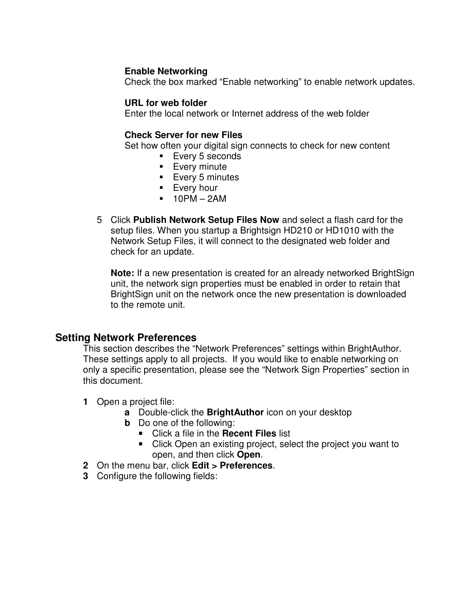### **Enable Networking**

Check the box marked "Enable networking" to enable network updates.

#### **URL for web folder**

Enter the local network or Internet address of the web folder

#### **Check Server for new Files**

Set how often your digital sign connects to check for new content

- **Every 5 seconds**
- **Every minute**
- **Every 5 minutes**
- **Every hour**
- $-10PM 2AM$
- 5 Click **Publish Network Setup Files Now** and select a flash card for the setup files. When you startup a Brightsign HD210 or HD1010 with the Network Setup Files, it will connect to the designated web folder and check for an update.

**Note:** If a new presentation is created for an already networked BrightSign unit, the network sign properties must be enabled in order to retain that BrightSign unit on the network once the new presentation is downloaded to the remote unit.

# **Setting Network Preferences**

This section describes the "Network Preferences" settings within BrightAuthor. These settings apply to all projects. If you would like to enable networking on only a specific presentation, please see the "Network Sign Properties" section in this document.

- **1** Open a project file:
	- **a** Double-click the **BrightAuthor** icon on your desktop
	- **b** Do one of the following:
		- Click a file in the **Recent Files** list
		- Click Open an existing project, select the project you want to open, and then click **Open**.
- **2** On the menu bar, click **Edit > Preferences**.
- **3** Configure the following fields: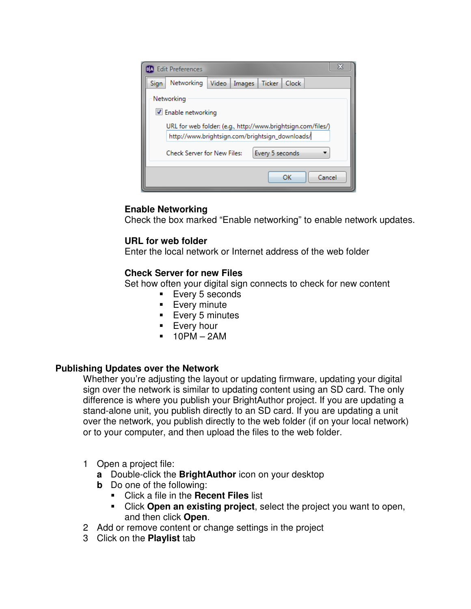| Þ.<br><b>A</b> Edit Preferences                              |  |  |  |  |  |
|--------------------------------------------------------------|--|--|--|--|--|
| Networking<br>Sign<br>Video  <br>Ticker<br>Clock<br>Images   |  |  |  |  |  |
| Networking                                                   |  |  |  |  |  |
| Enable networking                                            |  |  |  |  |  |
| URL for web folder: (e.g., http://www.brightsign.com/files/) |  |  |  |  |  |
| http://www.brightsign.com/brightsign_downloads/              |  |  |  |  |  |
| <b>Check Server for New Files:</b><br>Every 5 seconds        |  |  |  |  |  |
| Cancel<br>OK                                                 |  |  |  |  |  |

# **Enable Networking**

Check the box marked "Enable networking" to enable network updates.

### **URL for web folder**

Enter the local network or Internet address of the web folder

### **Check Server for new Files**

Set how often your digital sign connects to check for new content

- **Every 5 seconds**
- **Every minute**
- **Every 5 minutes**
- **Every hour**
- $-10PM 2AM$

### **Publishing Updates over the Network**

Whether you're adjusting the layout or updating firmware, updating your digital sign over the network is similar to updating content using an SD card. The only difference is where you publish your BrightAuthor project. If you are updating a stand-alone unit, you publish directly to an SD card. If you are updating a unit over the network, you publish directly to the web folder (if on your local network) or to your computer, and then upload the files to the web folder.

- 1 Open a project file:
	- **a** Double-click the **BrightAuthor** icon on your desktop
	- **b** Do one of the following:
		- Click a file in the **Recent Files** list
		- Click **Open an existing project**, select the project you want to open, and then click **Open**.
- 2 Add or remove content or change settings in the project
- 3 Click on the **Playlist** tab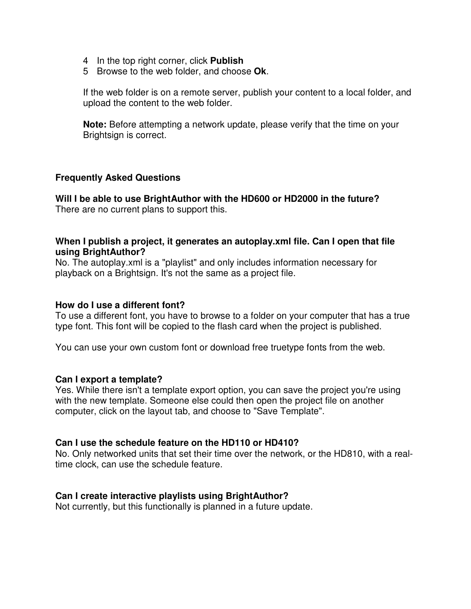- 4 In the top right corner, click **Publish**
- 5 Browse to the web folder, and choose **Ok**.

If the web folder is on a remote server, publish your content to a local folder, and upload the content to the web folder.

**Note:** Before attempting a network update, please verify that the time on your Brightsign is correct.

### **Frequently Asked Questions**

**Will I be able to use BrightAuthor with the HD600 or HD2000 in the future?** There are no current plans to support this.

#### **When I publish a project, it generates an autoplay.xml file. Can I open that file using BrightAuthor?**

No. The autoplay.xml is a "playlist" and only includes information necessary for playback on a Brightsign. It's not the same as a project file.

#### **How do I use a different font?**

To use a different font, you have to browse to a folder on your computer that has a true type font. This font will be copied to the flash card when the project is published.

You can use your own custom font or download free truetype fonts from the web.

#### **Can I export a template?**

Yes. While there isn't a template export option, you can save the project you're using with the new template. Someone else could then open the project file on another computer, click on the layout tab, and choose to "Save Template".

#### **Can I use the schedule feature on the HD110 or HD410?**

No. Only networked units that set their time over the network, or the HD810, with a realtime clock, can use the schedule feature.

#### **Can I create interactive playlists using BrightAuthor?**

Not currently, but this functionally is planned in a future update.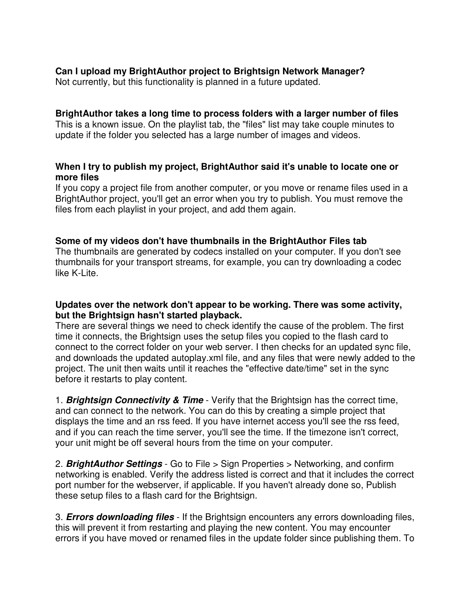# **Can I upload my BrightAuthor project to Brightsign Network Manager?**

Not currently, but this functionality is planned in a future updated.

#### **BrightAuthor takes a long time to process folders with a larger number of files**

This is a known issue. On the playlist tab, the "files" list may take couple minutes to update if the folder you selected has a large number of images and videos.

### **When I try to publish my project, BrightAuthor said it's unable to locate one or more files**

If you copy a project file from another computer, or you move or rename files used in a BrightAuthor project, you'll get an error when you try to publish. You must remove the files from each playlist in your project, and add them again.

#### **Some of my videos don't have thumbnails in the BrightAuthor Files tab**

The thumbnails are generated by codecs installed on your computer. If you don't see thumbnails for your transport streams, for example, you can try downloading a codec like K-Lite.

#### **Updates over the network don't appear to be working. There was some activity, but the Brightsign hasn't started playback.**

There are several things we need to check identify the cause of the problem. The first time it connects, the Brightsign uses the setup files you copied to the flash card to connect to the correct folder on your web server. I then checks for an updated sync file, and downloads the updated autoplay.xml file, and any files that were newly added to the project. The unit then waits until it reaches the "effective date/time" set in the sync before it restarts to play content.

1. **Brightsign Connectivity & Time** - Verify that the Brightsign has the correct time, and can connect to the network. You can do this by creating a simple project that displays the time and an rss feed. If you have internet access you'll see the rss feed, and if you can reach the time server, you'll see the time. If the timezone isn't correct, your unit might be off several hours from the time on your computer.

2. **BrightAuthor Settings** - Go to File > Sign Properties > Networking, and confirm networking is enabled. Verify the address listed is correct and that it includes the correct port number for the webserver, if applicable. If you haven't already done so, Publish these setup files to a flash card for the Brightsign.

3. **Errors downloading files** - If the Brightsign encounters any errors downloading files, this will prevent it from restarting and playing the new content. You may encounter errors if you have moved or renamed files in the update folder since publishing them. To